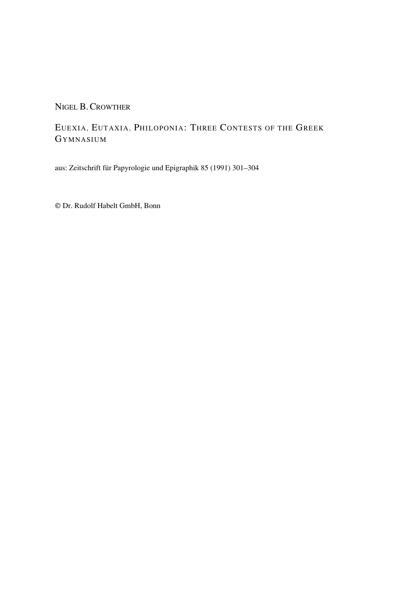## NIGEL B.CROWTHER

## EUEXIA, EUTAXIA, PHILOPONIA: THREE CONTESTS OF THE GREEK GYMNASIUM

aus: Zeitschrift für Papyrologie und Epigraphik 85 (1991) 301–304

© Dr. Rudolf Habelt GmbH, Bonn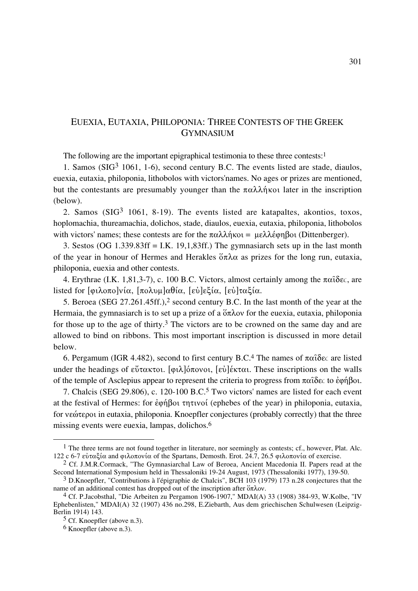## EUEXIA, EUTAXIA, PHILOPONIA: THREE CONTESTS OF THE GREEK GYMNASIUM

The following are the important epigraphical testimonia to these three contests:<sup>1</sup>

1. Samos ( $SIG<sup>3</sup>$  1061, 1-6), second century B.C. The events listed are stade, diaulos, euexia, eutaxia, philoponia, lithobolos with victors'names. No ages or prizes are mentioned, but the contestants are presumably younger than the  $\pi \alpha \lambda \lambda \hat{\eta}$  kot later in the inscription (below).

2. Samos ( $SIG<sup>3</sup>$  1061, 8-19). The events listed are katapaltes, akontios, toxos, hoplomachia, thureamachia, dolichos, stade, diaulos, euexia, eutaxia, philoponia, lithobolos with victors' names; these contests are for the  $\pi \alpha \lambda \lambda \hat{n} \kappa o_1 = \mu \epsilon \lambda \lambda \hat{\epsilon} \omega n \beta o_1$  (Dittenberger).

3. Sestos (OG  $1.339.83\text{ff} = I.K. 19,1,83\text{ff}$ .) The gymnasiarch sets up in the last month of the year in honour of Hermes and Herakles  $\delta \pi \lambda \alpha$  as prizes for the long run, eutaxia, philoponia, euexia and other contests.

4. Erythrae (I.K. 1,81,3-7), c. 100 B.C. Victors, almost certainly among the  $\pi\alpha\delta\epsilon c$ , are listed for  $\lceil \varphi_1 \lambda_0 \pi_0 \rceil$ νία,  $\lceil \pi_0 \lambda_0 \mu \rceil$ αθία,  $\lceil \varepsilon_0 \rceil$ εξία,  $\lceil \varepsilon_0 \rceil$ ταξία.

5. Beroea (SEG 27.261.45ff.),2 second century B.C. In the last month of the year at the Hermaia, the gymnasiarch is to set up a prize of a  $\delta \pi \lambda$  ov for the euexia, eutaxia, philoponia for those up to the age of thirty.3 The victors are to be crowned on the same day and are allowed to bind on ribbons. This most important inscription is discussed in more detail below.

6. Pergamum (IGR 4.482), second to first century B.C.<sup>4</sup> The names of  $\pi\alpha\hat{\iota}\delta \varepsilon c$  are listed under the headings of  $\epsilon\check{v}$ τακτοι. [φιλ]όπονοι, [εύ]έκται. These inscriptions on the walls of the temple of Asclepius appear to represent the criteria to progress from  $\pi \alpha \delta \epsilon c$  to  $\dot{\epsilon} \varphi \dot{\eta} \beta o \iota$ .

7. Chalcis (SEG 29.806), c. 120-100 B.C.5 Two victors' names are listed for each event at the festival of Hermes: for  $\epsilon \varphi \eta \beta o \iota \tau \eta \tau \iota \nu o \iota$  (ephebes of the year) in philoponia, eutaxia, for νεώτεροι in eutaxia, philoponia. Knoepfler conjectures (probably correctly) that the three missing events were euexia, lampas, dolichos.6

<sup>&</sup>lt;sup>1</sup> The three terms are not found together in literature, nor seemingly as contests; cf., however, Plat. Alc. 122 c 6-7 εὐταξία and φιλοπονία of the Spartans, Demosth. Erot. 24.7, 26.5 φιλοπονία of exercise.

<sup>2</sup> Cf. J.M.R.Cormack, "The Gymnasiarchal Law of Beroea, Ancient Macedonia II. Papers read at the Second International Symposium held in Thessaloniki 19-24 August, 1973 (Thessaloniki 1977), 139-50.

<sup>3</sup> D.Knoepfler, "Contributions à l'épigraphie de Chalcis", BCH 103 (1979) 173 n.28 conjectures that the name of an additional contest has dropped out of the inscription after  $\delta \pi \lambda$ ov.

<sup>4</sup> Cf. P.Jacobsthal, "Die Arbeiten zu Pergamon 1906-1907," MDAI(A) 33 (1908) 384-93, W.Kolbe, "IV Ephebenlisten," MDAI(A) 32 (1907) 436 no.298, E.Ziebarth, Aus dem griechischen Schulwesen (Leipzig-Berlin 1914) 143.

<sup>5</sup> Cf. Knoepfler (above n.3).

<sup>6</sup> Knoepfler (above n.3).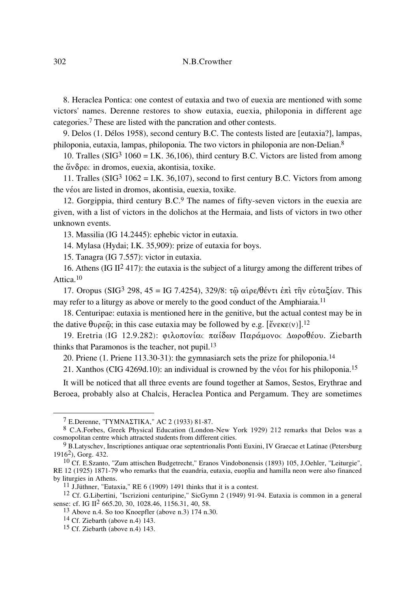8. Heraclea Pontica: one contest of eutaxia and two of euexia are mentioned with some victors' names. Derenne restores to show eutaxia, euexia, philoponia in different age categories.7 These are listed with the pancration and other contests.

9. Delos (1. Délos 1958), second century B.C. The contests listed are [eutaxia?], lampas, philoponia, eutaxia, lampas, philoponia. The two victors in philoponia are non-Delian.8

10. Tralles ( $SIG^3$  1060 = I.K. 36,106), third century B.C. Victors are listed from among the  $\alpha$   $\delta$   $\alpha$  is dromos, euexia, akontisia, toxike.

11. Tralles ( $SIG^3$  1062 = I.K. 36,107), second to first century B.C. Victors from among the véoi are listed in dromos, akontisia, euexia, toxike.

12. Gorgippia, third century B.C.9 The names of fifty-seven victors in the euexia are given, with a list of victors in the dolichos at the Hermaia, and lists of victors in two other unknown events.

13. Massilia (IG 14.2445): ephebic victor in eutaxia.

14. Mylasa (Hydai; I.K. 35,909): prize of eutaxia for boys.

15. Tanagra (IG 7.557): victor in eutaxia.

16. Athens (IG II<sup>2</sup> 417): the eutaxia is the subject of a liturgy among the different tribes of Attica.10

17. Oropus (SIG<sup>3</sup> 298, 45 = IG 7.4254), 329/8: τω αίρε/θέντι έπι την εὐταξίαν. This may refer to a liturgy as above or merely to the good conduct of the Amphiaraia.<sup>11</sup>

18. Centuripae: eutaxia is mentioned here in the genitive, but the actual contest may be in the dative  $\theta$ v $\rho \varepsilon \hat{\omega}$ ; in this case eutaxia may be followed by e.g. [ $\check{\varepsilon}$ v $\varepsilon \varepsilon(\nu)$ ].<sup>12</sup>

19. Eretria (IG 12.9.282): φιλοπονίας παίδων Παράμονος Δωροθέου. Ziebarth thinks that Paramonos is the teacher, not pupil.13

20. Priene (1. Priene 113.30-31): the gymnasiarch sets the prize for philoponia.14

21. Xanthos (CIG 4269d.10): an individual is crowned by the véot for his philoponia.<sup>15</sup>

It will be noticed that all three events are found together at Samos, Sestos, Erythrae and Beroea, probably also at Chalcis, Heraclea Pontica and Pergamum. They are sometimes

 $7$  E.Derenne, "FYMNA $\Sigma$ TIKA," AC 2 (1933) 81-87.

<sup>8</sup> C.A.Forbes, Greek Physical Education (London-New York 1929) 212 remarks that Delos was a cosmopolitan centre which attracted students from different cities.

<sup>&</sup>lt;sup>9</sup> B.Latyschev, Inscriptiones antiquae orae septentrionalis Ponti Euxini, IV Graecae et Latinae (Petersburg 19162), Gorg. 432.

<sup>10</sup> Cf. E.Szanto, "Zum attischen Budgetrecht," Eranos Vindobonensis (1893) 105, J.Oehler, "Leiturgie", RE 12 (1925) 1871-79 who remarks that the euandria, eutaxia, euoplia and hamilla neon were also financed by liturgies in Athens.

<sup>11</sup> J.Jüthner, "Eutaxia," RE 6 (1909) 1491 thinks that it is a contest.

<sup>12</sup> Cf. G.Libertini, "Iscrizioni centuripine," SicGymn 2 (1949) 91-94. Eutaxia is common in a general sense: cf. IG II<sup>2</sup> 665.20, 30, 1028.46, 1156.31, 40, 58.

<sup>13</sup> Above n.4. So too Knoepfler (above n.3) 174 n.30.

 $14$  Cf. Ziebarth (above n.4) 143.

 $15$  Cf. Ziebarth (above n.4) 143.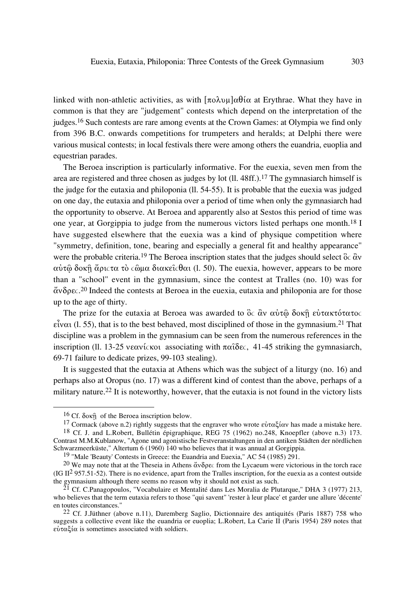linked with non-athletic activities, as with  $\lceil \pi \circ \lambda \circ \mu \rceil \alpha \theta$  at Erythrae. What they have in common is that they are "judgement" contests which depend on the interpretation of the judges.<sup>16</sup> Such contests are rare among events at the Crown Games: at Olympia we find only from 396 B.C. onwards competitions for trumpeters and heralds; at Delphi there were various musical contests; in local festivals there were among others the euandria, euoplia and equestrian parades.

The Beroea inscription is particularly informative. For the euexia, seven men from the area are registered and three chosen as judges by lot (ll. 48ff.).17 The gymnasiarch himself is the judge for the eutaxia and philoponia (ll. 54-55). It is probable that the euexia was judged on one day, the eutaxia and philoponia over a period of time when only the gymnasiarch had the opportunity to observe. At Beroea and apparently also at Sestos this period of time was one year, at Gorgippia to judge from the numerous victors listed perhaps one month.18 I have suggested elsewhere that the euexia was a kind of physique competition where "symmetry, definition, tone, bearing and especially a general fit and healthy appearance" were the probable criteria.<sup>19</sup> The Beroea inscription states that the judges should select  $\ddot{\delta}c \ddot{\alpha}v$  $\alpha$ ύτω δοκῆ ἄριςτα τὸ ςῶμα διακεῖςθαι (l. 50). The euexia, however, appears to be more than a "school" event in the gymnasium, since the contest at Tralles (no. 10) was for  $\alpha$ νδρες.<sup>20</sup> Indeed the contests at Beroea in the euexia, eutaxia and philoponia are for those up to the age of thirty.

The prize for the eutaxia at Beroea was awarded to  $\delta c \, \dot{\alpha} v$   $\alpha \dot{\nu} \tau \hat{\omega} \, \delta o \kappa \hat{\eta}$  εύτακτότατος  $\epsilon$ iv $\alpha$  (l. 55), that is to the best behaved, most disciplined of those in the gymnasium.<sup>21</sup> That discipline was a problem in the gymnasium can be seen from the numerous references in the inscription (ll. 13-25 veavickot associating with  $\pi\alpha\delta\varepsilon c$ , 41-45 striking the gymnasiarch, 69-71 failure to dedicate prizes, 99-103 stealing).

It is suggested that the eutaxia at Athens which was the subject of a liturgy (no. 16) and perhaps also at Oropus (no. 17) was a different kind of contest than the above, perhaps of a military nature.22 It is noteworthy, however, that the eutaxia is not found in the victory lists

<sup>&</sup>lt;sup>16</sup> Cf.  $\delta$ ok $\hat{\eta}$  of the Beroea inscription below.

<sup>&</sup>lt;sup>17</sup> Cormack (above n.2) rightly suggests that the engraver who wrote εὐταξίαν has made a mistake here. 18 Cf. J. and L.Robert, Bullétin épigraphique, REG 75 (1962) no.248, Knoepfler (above n.3) 173. Contrast M.M.Kublanow, "Agone und agonistische Festveranstaltungen in den antiken Städten der nördlichen Schwarzmeerküste," Altertum 6 (1960) 140 who believes that it was annual at Gorgippia.

<sup>19 &</sup>quot;Male 'Beauty' Contests in Greece: the Euandria and Euexia," AC 54 (1985) 291.

<sup>&</sup>lt;sup>20</sup> We may note that at the Theseia in Athens  $\alpha v \delta \rho \epsilon c$  from the Lycaeum were victorious in the torch race (IG  $\mathbb{H}^2$  957.51-52). There is no evidence, apart from the Tralles inscription, for the euexia as a contest outside the gymnasium although there seems no reason why it should not exist as such.

<sup>&</sup>lt;sup>21</sup> Cf. C.Panagopoulos, "Vocabulaire et Mentalité dans Les Moralia de Plutarque," DHA 3 (1977) 213, who believes that the term eutaxia refers to those "qui savent" 'rester à leur place' et garder une allure 'décente' en toutes circonstances."

<sup>22</sup> Cf. J.Jüthner (above n.11), Daremberg Saglio, Dictionnaire des antiquités (Paris 1887) 758 who suggests a collective event like the euandria or euoplia; L.Robert, La Carie II (Paris 1954) 289 notes that  $\epsilon \dot{v} \tau \alpha \xi$ ί $\alpha$  is sometimes associated with soldiers.